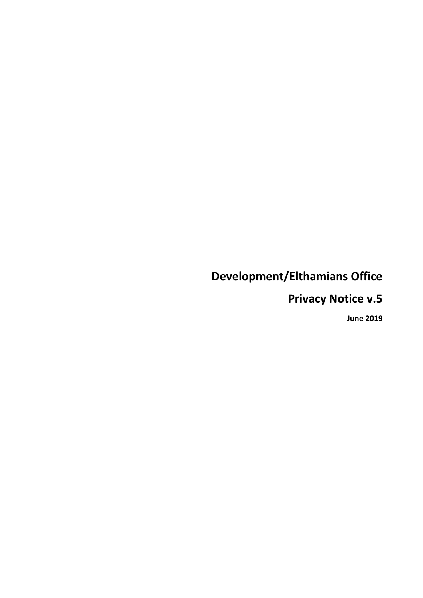# **Development/Elthamians Office**

## **Privacy Notice v.5**

**June 2019**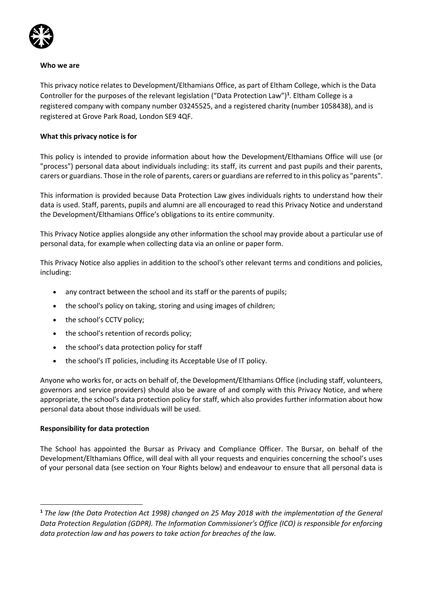

#### **Who we are**

This privacy notice relates to Development/Elthamians Office, as part of Eltham College, which is the Data Controller for the purposes of the relevant legislation ("Data Protection Law")**<sup>1</sup>** . Eltham College is a registered company with company number 03245525, and a registered charity (number 1058438), and is registered at Grove Park Road, London SE9 4QF.

#### **What this privacy notice is for**

This policy is intended to provide information about how the Development/Elthamians Office will use (or "process") personal data about individuals including: its staff, its current and past pupils and their parents, carers or guardians. Those in the role of parents, carers or guardians are referred to in this policy as "parents".

This information is provided because Data Protection Law gives individuals rights to understand how their data is used. Staff, parents, pupils and alumni are all encouraged to read this Privacy Notice and understand the Development/Elthamians Office's obligations to its entire community.

This Privacy Notice applies alongside any other information the school may provide about a particular use of personal data, for example when collecting data via an online or paper form.

This Privacy Notice also applies in addition to the school's other relevant terms and conditions and policies, including:

- any contract between the school and its staff or the parents of pupils;
- the school's policy on taking, storing and using images of children;
- the school's CCTV policy;
- the school's retention of records policy;
- the school's data protection policy for staff
- the school's IT policies, including its Acceptable Use of IT policy.

Anyone who works for, or acts on behalf of, the Development/Elthamians Office (including staff, volunteers, governors and service providers) should also be aware of and comply with this Privacy Notice, and where appropriate, the school's data protection policy for staff, which also provides further information about how personal data about those individuals will be used.

## **Responsibility for data protection**

1

The School has appointed the Bursar as Privacy and Compliance Officer. The Bursar, on behalf of the Development/Elthamians Office, will deal with all your requests and enquiries concerning the school's uses of your personal data (see section on Your Rights below) and endeavour to ensure that all personal data is

**<sup>1</sup>** *The law (the Data Protection Act 1998) changed on 25 May 2018 with the implementation of the General Data Protection Regulation (GDPR). The Information Commissioner's Office (ICO) is responsible for enforcing data protection law and has powers to take action for breaches of the law.*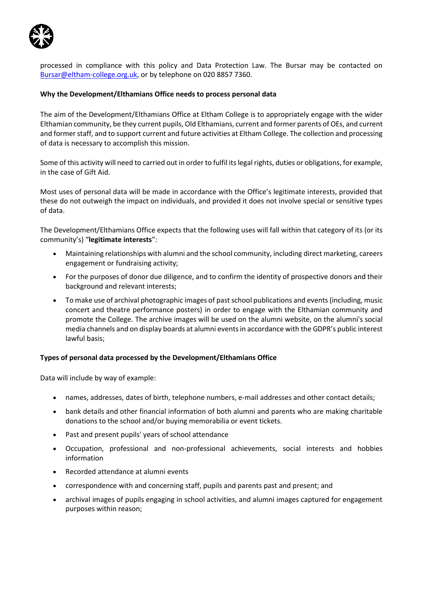

processed in compliance with this policy and Data Protection Law. The Bursar may be contacted on [Bursar@eltham-college.org.uk,](mailto:Bursar@eltham-college.org.uk) or by telephone on 020 8857 7360.

#### **Why the Development/Elthamians Office needs to process personal data**

The aim of the Development/Elthamians Office at Eltham College is to appropriately engage with the wider Elthamian community, be they current pupils, Old Elthamians, current and former parents of OEs, and current and former staff, and to support current and future activities at Eltham College. The collection and processing of data is necessary to accomplish this mission.

Some of this activity will need to carried out in order to fulfil its legal rights, duties or obligations, for example, in the case of Gift Aid.

Most uses of personal data will be made in accordance with the Office's legitimate interests, provided that these do not outweigh the impact on individuals, and provided it does not involve special or sensitive types of data.

The Development/Elthamians Office expects that the following uses will fall within that category of its (or its community's) "**legitimate interests**":

- Maintaining relationships with alumni and the school community, including direct marketing, careers engagement or fundraising activity;
- For the purposes of donor due diligence, and to confirm the identity of prospective donors and their background and relevant interests;
- To make use of archival photographic images of past school publications and events (including, music concert and theatre performance posters) in order to engage with the Elthamian community and promote the College. The archive images will be used on the alumni website, on the alumni's social media channels and on display boards at alumni eventsin accordance with the GDPR's public interest lawful basis;

#### **Types of personal data processed by the Development/Elthamians Office**

Data will include by way of example:

- names, addresses, dates of birth, telephone numbers, e-mail addresses and other contact details;
- bank details and other financial information of both alumni and parents who are making charitable donations to the school and/or buying memorabilia or event tickets.
- Past and present pupils' years of school attendance
- Occupation, professional and non-professional achievements, social interests and hobbies information
- Recorded attendance at alumni events
- correspondence with and concerning staff, pupils and parents past and present; and
- archival images of pupils engaging in school activities, and alumni images captured for engagement purposes within reason;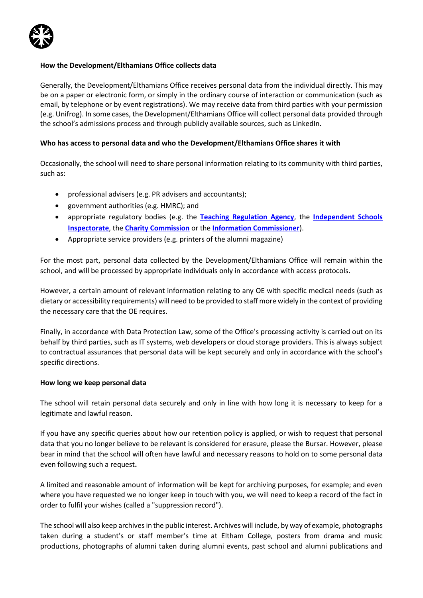

#### **How the Development/Elthamians Office collects data**

Generally, the Development/Elthamians Office receives personal data from the individual directly. This may be on a paper or electronic form, or simply in the ordinary course of interaction or communication (such as email, by telephone or by event registrations). We may receive data from third parties with your permission (e.g. Unifrog). In some cases, the Development/Elthamians Office will collect personal data provided through the school's admissions process and through publicly available sources, such as LinkedIn.

#### **Who has access to personal data and who the Development/Elthamians Office shares it with**

Occasionally, the school will need to share personal information relating to its community with third parties, such as:

- professional advisers (e.g. PR advisers and accountants);
- government authorities (e.g. HMRC); and
- appropriate regulatory bodies (e.g. the **[Teaching Regulation Agency](https://www.gov.uk/government/organisations/teaching-regulation-agency)**, the **[Independent Schools](https://www.isi.net/)  [Inspectorate](https://www.isi.net/)**, the **[Charity Commission](https://www.gov.uk/government/organisations/charity-commission)** or the **[Information Commissioner](https://ico.org.uk/)**).
- Appropriate service providers (e.g. printers of the alumni magazine)

For the most part, personal data collected by the Development/Elthamians Office will remain within the school, and will be processed by appropriate individuals only in accordance with access protocols.

However, a certain amount of relevant information relating to any OE with specific medical needs (such as dietary or accessibility requirements) will need to be provided to staff more widely in the context of providing the necessary care that the OE requires.

Finally, in accordance with Data Protection Law, some of the Office's processing activity is carried out on its behalf by third parties, such as IT systems, web developers or cloud storage providers. This is always subject to contractual assurances that personal data will be kept securely and only in accordance with the school's specific directions.

#### **How long we keep personal data**

The school will retain personal data securely and only in line with how long it is necessary to keep for a legitimate and lawful reason.

If you have any specific queries about how our retention policy is applied, or wish to request that personal data that you no longer believe to be relevant is considered for erasure, please the Bursar. However, please bear in mind that the school will often have lawful and necessary reasons to hold on to some personal data even following such a request**.**

A limited and reasonable amount of information will be kept for archiving purposes, for example; and even where you have requested we no longer keep in touch with you, we will need to keep a record of the fact in order to fulfil your wishes (called a "suppression record").

The school will also keep archives in the public interest. Archives will include, by way of example, photographs taken during a student's or staff member's time at Eltham College, posters from drama and music productions, photographs of alumni taken during alumni events, past school and alumni publications and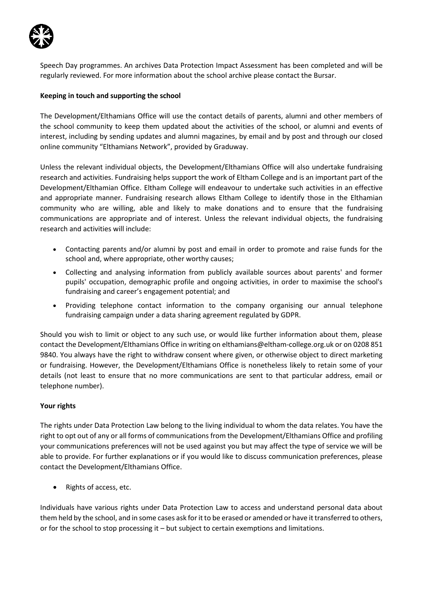

Speech Day programmes. An archives Data Protection Impact Assessment has been completed and will be regularly reviewed. For more information about the school archive please contact the Bursar.

## **Keeping in touch and supporting the school**

The Development/Elthamians Office will use the contact details of parents, alumni and other members of the school community to keep them updated about the activities of the school, or alumni and events of interest, including by sending updates and alumni magazines, by email and by post and through our closed online community "Elthamians Network", provided by Graduway.

Unless the relevant individual objects, the Development/Elthamians Office will also undertake fundraising research and activities. Fundraising helps support the work of Eltham College and is an important part of the Development/Elthamian Office. Eltham College will endeavour to undertake such activities in an effective and appropriate manner. Fundraising research allows Eltham College to identify those in the Elthamian community who are willing, able and likely to make donations and to ensure that the fundraising communications are appropriate and of interest. Unless the relevant individual objects, the fundraising research and activities will include:

- Contacting parents and/or alumni by post and email in order to promote and raise funds for the school and, where appropriate, other worthy causes;
- Collecting and analysing information from publicly available sources about parents' and former pupils' occupation, demographic profile and ongoing activities, in order to maximise the school's fundraising and career's engagement potential; and
- Providing telephone contact information to the company organising our annual telephone fundraising campaign under a data sharing agreement regulated by GDPR.

Should you wish to limit or object to any such use, or would like further information about them, please contact the Development/Elthamians Office in writing o[n elthamians@eltham-college.org.uk](mailto:elthamians@eltham-college.org.uk) or on 0208 851 9840. You always have the right to withdraw consent where given, or otherwise object to direct marketing or fundraising. However, the Development/Elthamians Office is nonetheless likely to retain some of your details (not least to ensure that no more communications are sent to that particular address, email or telephone number).

#### **Your rights**

The rights under Data Protection Law belong to the living individual to whom the data relates. You have the right to opt out of any or all forms of communications from the Development/Elthamians Office and profiling your communications preferences will not be used against you but may affect the type of service we will be able to provide. For further explanations or if you would like to discuss communication preferences, please contact the Development/Elthamians Office.

• Rights of access, etc.

Individuals have various rights under Data Protection Law to access and understand personal data about them held by the school, and in some cases ask for it to be erased or amended or have it transferred to others, or for the school to stop processing it – but subject to certain exemptions and limitations.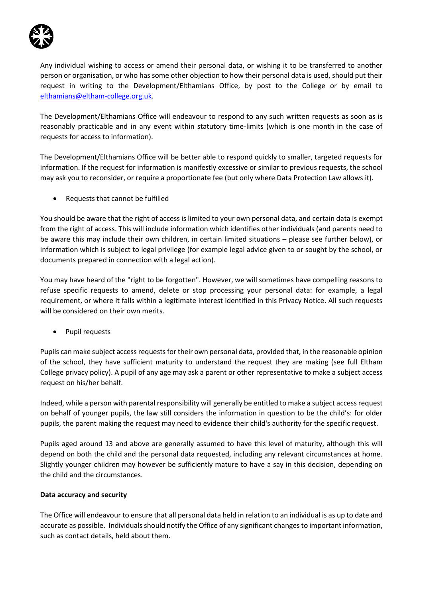

Any individual wishing to access or amend their personal data, or wishing it to be transferred to another person or organisation, or who has some other objection to how their personal data is used, should put their request in writing to the Development/Elthamians Office, by post to the College or by email to [elthamians@eltham-college.org.uk.](mailto:elthamians@eltham-college.org.uk)

The Development/Elthamians Office will endeavour to respond to any such written requests as soon as is reasonably practicable and in any event within statutory time-limits (which is one month in the case of requests for access to information).

The Development/Elthamians Office will be better able to respond quickly to smaller, targeted requests for information. If the request for information is manifestly excessive or similar to previous requests, the school may ask you to reconsider, or require a proportionate fee (but only where Data Protection Law allows it).

Requests that cannot be fulfilled

You should be aware that the right of access is limited to your own personal data, and certain data is exempt from the right of access. This will include information which identifies other individuals (and parents need to be aware this may include their own children, in certain limited situations – please see further below), or information which is subject to legal privilege (for example legal advice given to or sought by the school, or documents prepared in connection with a legal action).

You may have heard of the "right to be forgotten". However, we will sometimes have compelling reasons to refuse specific requests to amend, delete or stop processing your personal data: for example, a legal requirement, or where it falls within a legitimate interest identified in this Privacy Notice. All such requests will be considered on their own merits.

Pupil requests

Pupils can make subject access requests for their own personal data, provided that, in the reasonable opinion of the school, they have sufficient maturity to understand the request they are making (see full Eltham College privacy policy). A pupil of any age may ask a parent or other representative to make a subject access request on his/her behalf.

Indeed, while a person with parental responsibility will generally be entitled to make a subject access request on behalf of younger pupils, the law still considers the information in question to be the child's: for older pupils, the parent making the request may need to evidence their child's authority for the specific request.

Pupils aged around 13 and above are generally assumed to have this level of maturity, although this will depend on both the child and the personal data requested, including any relevant circumstances at home. Slightly younger children may however be sufficiently mature to have a say in this decision, depending on the child and the circumstances.

## **Data accuracy and security**

The Office will endeavour to ensure that all personal data held in relation to an individual is as up to date and accurate as possible. Individuals should notify the Office of any significant changes to important information, such as contact details, held about them.